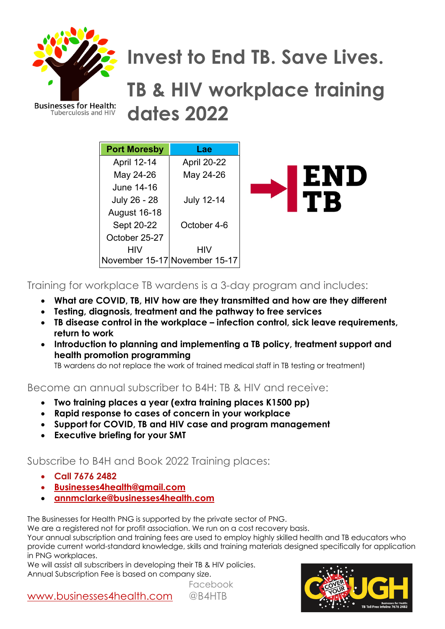

**Tuberculosis and HIV** 

# **Invest to End TB. Save Lives.**

# **TB & HIV workplace training dates 2022**

| <b>Port Moresby</b> | Lae                           |
|---------------------|-------------------------------|
| <b>April 12-14</b>  | <b>April 20-22</b>            |
| May 24-26           | May 24-26                     |
| June 14-16          |                               |
| July 26 - 28        | <b>July 12-14</b>             |
| <b>August 16-18</b> |                               |
| Sept 20-22          | October 4-6                   |
| October 25-27       |                               |
| HIV                 | HIV                           |
|                     | November 15-17 November 15-17 |



#### Training for workplace TB wardens is a 3-day program and includes:

- **What are COVID, TB, HIV how are they transmitted and how are they different**
- **Testing, diagnosis, treatment and the pathway to free services**
- **TB disease control in the workplace – infection control, sick leave requirements, return to work**
- **Introduction to planning and implementing a TB policy, treatment support and health promotion programming**

TB wardens do not replace the work of trained medical staff in TB testing or treatment)

Become an annual subscriber to B4H: TB & HIV and receive:

- **Two training places a year (extra training places K1500 pp)**
- **Rapid response to cases of concern in your workplace**
- **Support for COVID, TB and HIV case and program management**
- **Executive briefing for your SMT**

#### Subscribe to B4H and Book 2022 Training places:

- **Call 7676 2482**
- **Businesses4health@gmail.com**
- **annmclarke@businesses4health.com**

The Businesses for Health PNG is supported by the private sector of PNG.

We are a reaistered not for profit association. We run on a cost recovery basis.

Your annual subscription and training fees are used to employ highly skilled health and TB educators who provide current world-standard knowledge, skills and training materials designed specifically for application in PNG workplaces.

We will assist all subscribers in developing their TB & HIV policies. Annual Subscription Fee is based on company size.

Facebook



www.businesses4health.com @B4HTB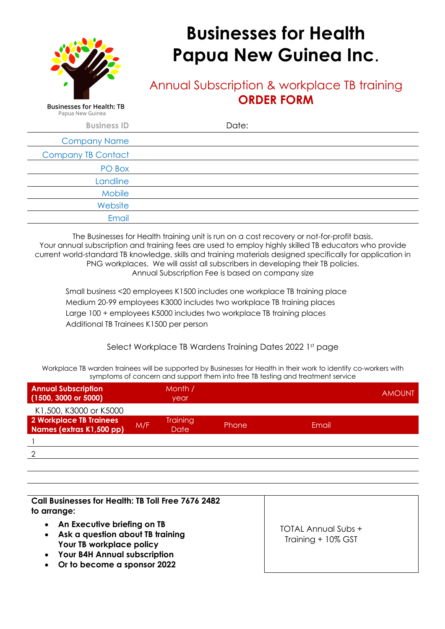

**Businesses for Health: TB** Papua New Guinea

## **Businesses for Health Papua New Guinea Inc**.

#### Annual Subscription & workplace TB training **ORDER FORM**

**Business ID** Date: Company Name Company TB Contact PO Box **Landline Mobile Website** Email

The Businesses for Health training unit is run on a cost recovery or not-for-profit basis. Your annual subscription and training fees are used to employ highly skilled TB educators who provide current world-standard TB knowledge, skills and training materials designed specifically for application in PNG workplaces. We will assist all subscribers in developing their TB policies. Annual Subscription Fee is based on company size

 Small business <20 employees K1500 includes one workplace TB training place Medium 20-99 employees K3000 includes two workplace TB training places Large 100 + employees K5000 includes two workplace TB training places Additional TB Trainees K1500 per person

Select Workplace TB Wardens Training Dates 2022 1st page

Workplace TB warden trainees will be supported by Businesses for Health in their work to identify co-workers with symptoms of concern and support them into free TB testing and treatment service

| <b>Annual Subscription</b><br>$(1500, 3000 \text{ or } 5000)$ |     | Month /<br>year                |       |       | <b>AMOUNT</b> |
|---------------------------------------------------------------|-----|--------------------------------|-------|-------|---------------|
| K1,500, K3000 or K5000                                        |     |                                |       |       |               |
| 2 Workplace TB Trainees<br>Names (extras K1,500 pp)           | M/F | <b>Training</b><br><b>Date</b> | Phone | Email |               |
|                                                               |     |                                |       |       |               |
| ◠                                                             |     |                                |       |       |               |
|                                                               |     |                                |       |       |               |
|                                                               |     |                                |       |       |               |

**Call Businesses for Health: TB Toll Free 7676 2482 to arrange:** 

- **An Executive briefing on TB**
- **Ask a question about TB training Your TB workplace policy**
- **Your B4H Annual subscription**
- **Or to become a sponsor 2022**

TOTAL Annual Subs + Training + 10% GST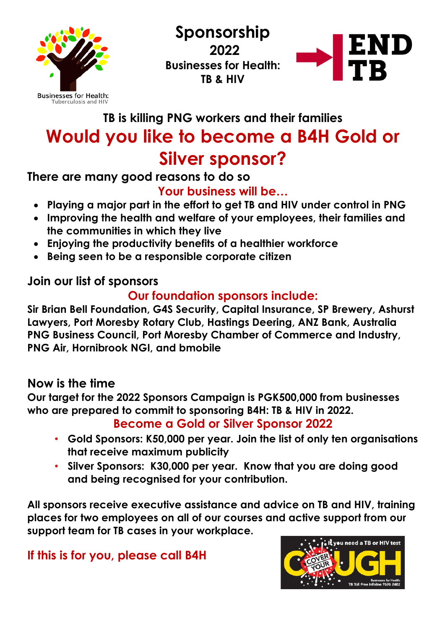

**Sponsorship 2022 Businesses for Health: TB & HIV**



## **TB is killing PNG workers and their families Would you like to become a B4H Gold or Silver sponsor?**

#### **There are many good reasons to do so**

### **Your business will be…**

- **Playing a major part in the effort to get TB and HIV under control in PNG**
- **Improving the health and welfare of your employees, their families and the communities in which they live**
- **Enjoying the productivity benefits of a healthier workforce**
- **Being seen to be a responsible corporate citizen**

#### **Join our list of sponsors**

### **Our foundation sponsors include:**

**Sir Brian Bell Foundation, G4S Security, Capital Insurance, SP Brewery, Ashurst Lawyers, Port Moresby Rotary Club, Hastings Deering, ANZ Bank, Australia PNG Business Council, Port Moresby Chamber of Commerce and Industry, PNG Air, Hornibrook NGI, and bmobile** 

#### **Now is the time**

**Our target for the 2022 Sponsors Campaign is PGK500,000 from businesses who are prepared to commit to sponsoring B4H: TB & HIV in 2022.**

#### **Become a Gold or Silver Sponsor 2022**

- **Gold Sponsors: K50,000 per year. Join the list of only ten organisations that receive maximum publicity**
- **Silver Sponsors: K30,000 per year. Know that you are doing good and being recognised for your contribution.**

**All sponsors receive executive assistance and advice on TB and HIV, training places for two employees on all of our courses and active support from our support team for TB cases in your workplace.**

#### **If this is for you, please call B4H**